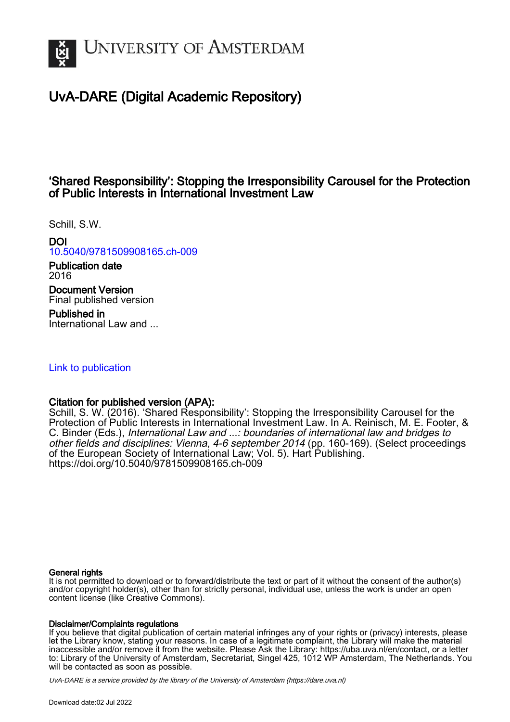

# UvA-DARE (Digital Academic Repository)

# 'Shared Responsibility': Stopping the Irresponsibility Carousel for the Protection of Public Interests in International Investment Law

Schill, S.W.

## DOI

# [10.5040/9781509908165.ch-009](https://doi.org/10.5040/9781509908165.ch-009)

Publication date 2016

Document Version Final published version

Published in International Law and ...

## [Link to publication](https://dare.uva.nl/personal/pure/en/publications/shared-responsibility-stopping-the-irresponsibility-carousel-for-the-protection-of-public-interests-in-international-investment-law(51803373-e5c2-4a2f-b7b6-b7e23c7f6811).html)

## Citation for published version (APA):

Schill, S. W. (2016). 'Shared Responsibility': Stopping the Irresponsibility Carousel for the Protection of Public Interests in International Investment Law. In A. Reinisch, M. E. Footer, & C. Binder (Eds.), International Law and ...: boundaries of international law and bridges to other fields and disciplines: Vienna, 4-6 september 2014 (pp. 160-169). (Select proceedings of the European Society of International Law; Vol. 5). Hart Publishing. <https://doi.org/10.5040/9781509908165.ch-009>

#### General rights

It is not permitted to download or to forward/distribute the text or part of it without the consent of the author(s) and/or copyright holder(s), other than for strictly personal, individual use, unless the work is under an open content license (like Creative Commons).

#### Disclaimer/Complaints regulations

If you believe that digital publication of certain material infringes any of your rights or (privacy) interests, please let the Library know, stating your reasons. In case of a legitimate complaint, the Library will make the material inaccessible and/or remove it from the website. Please Ask the Library: https://uba.uva.nl/en/contact, or a letter to: Library of the University of Amsterdam, Secretariat, Singel 425, 1012 WP Amsterdam, The Netherlands. You will be contacted as soon as possible.

UvA-DARE is a service provided by the library of the University of Amsterdam (http*s*://dare.uva.nl)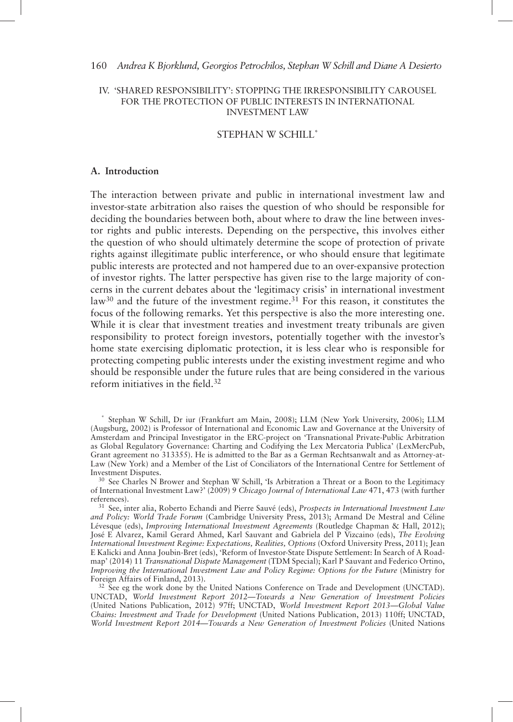#### IV. 'SHARED RESPONSIBILITY': STOPPING THE IRRESPONSIBILITY CAROUSEL FOR THE PROTECTION OF PUBLIC INTERESTS IN INTERNATIONAL INVESTMENT LAW

#### STEPHAN W SCHILL \*

#### **A. Introduction**

The interaction between private and public in international investment law and investor-state arbitration also raises the question of who should be responsible for deciding the boundaries between both, about where to draw the line between investor rights and public interests. Depending on the perspective, this involves either the question of who should ultimately determine the scope of protection of private rights against illegitimate public interference, or who should ensure that legitimate public interests are protected and not hampered due to an over-expansive protection of investor rights. The latter perspective has given rise to the large majority of concerns in the current debates about the 'legitimacy crisis' in international investment law<sup>30</sup> and the future of the investment regime.<sup>31</sup> For this reason, it constitutes the focus of the following remarks. Yet this perspective is also the more interesting one. While it is clear that investment treaties and investment treaty tribunals are given responsibility to protect foreign investors, potentially together with the investor's home state exercising diplomatic protection, it is less clear who is responsible for protecting competing public interests under the existing investment regime and who should be responsible under the future rules that are being considered in the various reform initiatives in the field. $32$ 

of International Investment Law ? '(2009) 9 *Chicago Journal of International Law* 471, 473 (with further references).<br><sup>31</sup> See, inter alia, Roberto Echandi and Pierre Sauvé (eds), *Prospects in International Investment Law* 

and Policy: World Trade Forum (Cambridge University Press, 2013); Armand De Mestral and Céline Lévesque (eds), *Improving International Investment Agreements* (Routledge Chapman & Hall, 2012); Jos éE Alvarez, Kamil Gerard Ahmed, Karl Sauvant and Gabriela del P Vizcaino (eds), *The Evolving International Investment Regime: Expectations, Realities, Options* (Oxford University Press, 2011); Jean E Kalicki and Anna Joubin-Bret (eds), ' Reform of Investor-State Dispute Settlement: In Search of A Roadmap '(2014) 11 *Transnational Dispute Management* (TDM Special); Karl P Sauvant and Federico Ortino, *Improving the International Investment Law and Policy Regime: Options for the Future* (Ministry for Foreign Affairs of Finland, 2013).

 $32$  See eg the work done by the United Nations Conference on Trade and Development (UNCTAD). UNCTAD, *World Investment Report 2012 — Towards a New Generation of Investment Policies* (United Nations Publication, 2012) 97ff; UNCTAD, *World Investment Report 2013 — Global Value Chains: Investment and Trade for Development* (United Nations Publication, 2013) 110ff; UNCTAD, *World Investment Report 2014 — Towards a New Generation of Investment Policies* (United Nations

<sup>\*</sup> Stephan W Schill, Dr iur (Frankfurt am Main, 2008); LLM (New York University, 2006); LLM (Augsburg, 2002) is Professor of International and Economic Law and Governance at the University of Amsterdam and Principal Investigator in the ERC-project on ' Transnational Private-Public Arbitration as Global Regulatory Governance: Charting and Codifying the Lex Mercatoria Publica' (LexMercPub, Grant agreement no 313355). He is admitted to the Bar as a German Rechtsanwalt and as Attorney-at-Law (New York) and a Member of the List of Conciliators of the International Centre for Settlement of Investment Disputes.<br><sup>30</sup> See Charles N Brower and Stephan W Schill, 'Is Arbitration a Threat or a Boon to the Legitimacy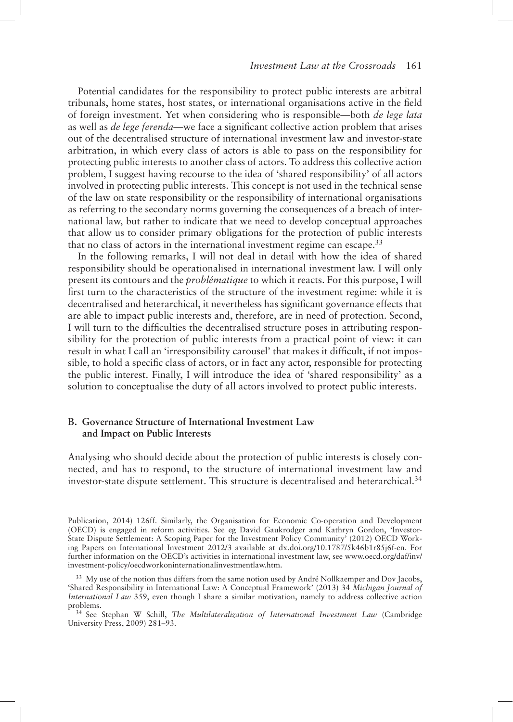#### *Investment Law at the Crossroads* 161

Potential candidates for the responsibility to protect public interests are arbitral tribunals, home states, host states, or international organisations active in the field of foreign investment. Yet when considering who is responsible — both *de lege lata* as well as *de lege ferenda*—we face a significant collective action problem that arises out of the decentralised structure of international investment law and investor-state arbitration, in which every class of actors is able to pass on the responsibility for protecting public interests to another class of actors. To address this collective action problem, I suggest having recourse to the idea of ' shared responsibility 'of all actors involved in protecting public interests. This concept is not used in the technical sense of the law on state responsibility or the responsibility of international organisations as referring to the secondary norms governing the consequences of a breach of international law, but rather to indicate that we need to develop conceptual approaches that allow us to consider primary obligations for the protection of public interests that no class of actors in the international investment regime can escape. 33

In the following remarks, I will not deal in detail with how the idea of shared responsibility should be operationalised in international investment law. I will only present its contours and the *problématique* to which it reacts. For this purpose, I will first turn to the characteristics of the structure of the investment regime: while it is decentralised and heterarchical, it nevertheless has significant governance effects that are able to impact public interests and, therefore, are in need of protection. Second, I will turn to the difficulties the decentralised structure poses in attributing responsibility for the protection of public interests from a practical point of view: it can result in what I call an 'irresponsibility carousel' that makes it difficult, if not impossible, to hold a specific class of actors, or in fact any actor, responsible for protecting the public interest. Finally, I will introduce the idea of ' shared responsibility 'as a solution to conceptualise the duty of all actors involved to protect public interests.

#### **B. Governance Structure of International Investment Law and Impact on Public Interests**

Analysing who should decide about the protection of public interests is closely connected, and has to respond, to the structure of international investment law and investor-state dispute settlement. This structure is decentralised and heterarchical. 34

Publication, 2014) 126ff. Similarly, the Organisation for Economic Co-operation and Development (OECD) is engaged in reform activities. See eg David Gaukrodger and Kathryn Gordon, 'Investor-State Dispute Settlement: A Scoping Paper for the Investment Policy Community '(2012) OECD Working Papers on International Investment 2012/3 available at dx.doi.org/10.1787/5k46b1r85j6f-en. For further information on the OECD's activities in international investment law, see www.oecd.org/daf/inv/ investment-policy/oecdworkoninternationalinvestmentlaw.htm .

<sup>&</sup>lt;sup>33</sup> My use of the notion thus differs from the same notion used by André Nollkaemper and Dov Jacobs, ' Shared Responsibility in International Law: A Conceptual Framework '(2013) 34 *Michigan Journal of International Law* 359, even though I share a similar motivation, namely to address collective action problems. 34 See Stephan W Schill, *The Multilateralization of International Investment Law* (Cambridge

University Press, 2009) 281-93.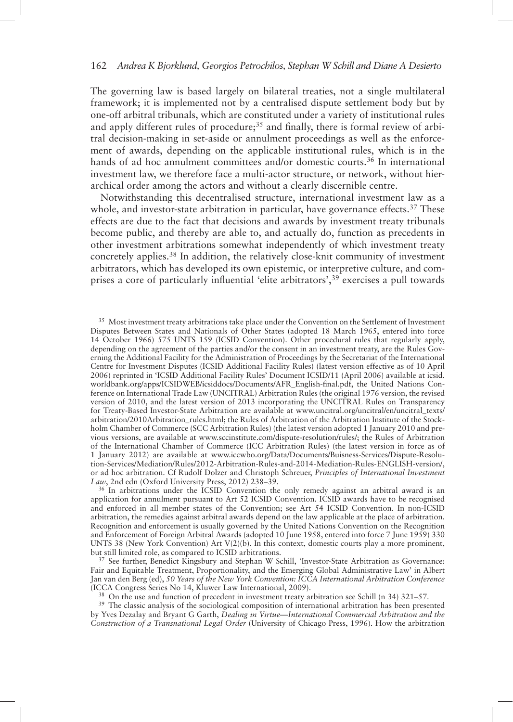The governing law is based largely on bilateral treaties, not a single multilateral framework; it is implemented not by a centralised dispute settlement body but by one-off arbitral tribunals, which are constituted under a variety of institutional rules and apply different rules of procedure;<sup>35</sup> and finally, there is formal review of arbitral decision-making in set-aside or annulment proceedings as well as the enforcement of awards, depending on the applicable institutional rules, which is in the hands of ad hoc annulment committees and/or domestic courts.<sup>36</sup> In international investment law, we therefore face a multi-actor structure, or network, without hierarchical order among the actors and without a clearly discernible centre.

Notwithstanding this decentralised structure, international investment law as a whole, and investor-state arbitration in particular, have governance effects.<sup>37</sup> These effects are due to the fact that decisions and awards by investment treaty tribunals become public, and thereby are able to, and actually do, function as precedents in other investment arbitrations somewhat independently of which investment treaty concretely applies. 38 In addition, the relatively close-knit community of investment arbitrators, which has developed its own epistemic, or interpretive culture, and comprises a core of particularly influential 'elite arbitrators',<sup>39</sup> exercises a pull towards

<sup>35</sup> Most investment treaty arbitrations take place under the Convention on the Settlement of Investment Disputes Between States and Nationals of Other States (adopted 18 March 1965, entered into force 14 October 1966) 575 UNTS 159 (ICSID Convention). Other procedural rules that regularly apply, depending on the agreement of the parties and/or the consent in an investment treaty, are the Rules Governing the Additional Facility for the Administration of Proceedings by the Secretariat of the International Centre for Investment Disputes (ICSID Additional Facility Rules) (latest version effective as of 10 April 2006) reprinted in 'ICSID Additional Facility Rules' Document ICSID/11 (April 2006) available at icsid. worldbank.org/apps/ICSIDWEB/icsiddocs/Documents/AFR\_English-final.pdf, the United Nations Conference on International Trade Law (UNCITRAL) Arbitration Rules (the original 1976 version, the revised version of 2010, and the latest version of 2013 incorporating the UNCITRAL Rules on Transparency for Treaty-Based Investor-State Arbitration are available at www.uncitral.org/uncitral/en/uncitral\_texts/ arbitration/2010Arbitration\_rules.html; the Rules of Arbitration of the Arbitration Institute of the Stockholm Chamber of Commerce (SCC Arbitration Rules) (the latest version adopted 1 January 2010 and previous versions, are available at www.sccinstitute.com/dispute-resolution/rules/ ; the Rules of Arbitration of the International Chamber of Commerce (ICC Arbitration Rules) (the latest version in force as of 1 January 2012) are available at www.iccwbo.org/Data/Documents/Buisness-Services/Dispute-Resolution-Services/Mediation/Rules/2012-Arbitration-Rules-and-2014-Mediation-Rules-ENGLISH-version/ , or ad hoc arbitration. Cf Rudolf Dolzer and Christoph Schreuer, *Principles of International Investment* 

<sup>36</sup> In arbitrations under the ICSID Convention the only remedy against an arbitral award is an application for annulment pursuant to Art 52 ICSID Convention. ICSID awards have to be recognised and enforced in all member states of the Convention; see Art 54 ICSID Convention. In non-ICSID arbitration, the remedies against arbitral awards depend on the law applicable at the place of arbitration. Recognition and enforcement is usually governed by the United Nations Convention on the Recognition and Enforcement of Foreign Arbitral Awards (adopted 10 June 1958, entered into force 7 June 1959) 330 UNTS 38 (New York Convention) Art V(2)(b). In this context, domestic courts play a more prominent, but still limited role, as compared to ICSID arbitrations.

<sup>37</sup> See further, Benedict Kingsbury and Stephan W Schill, 'Investor-State Arbitration as Governance: Fair and Equitable Treatment, Proportionality, and the Emerging Global Administrative Law 'in Albert Jan van den Berg (ed), *50 Years of the New York Convention: ICCA International Arbitration Conference*

<sup>38</sup> On the use and function of precedent in investment treaty arbitration see Schill (n 34) 321–57.<br><sup>39</sup> The classic analysis of the sociological composition of international arbitration has been presented by Yves Dezalay and Bryant G Garth, *Dealing in Virtue — International Commercial Arbitration and the Construction of a Transnational Legal Order* (University of Chicago Press, 1996). How the arbitration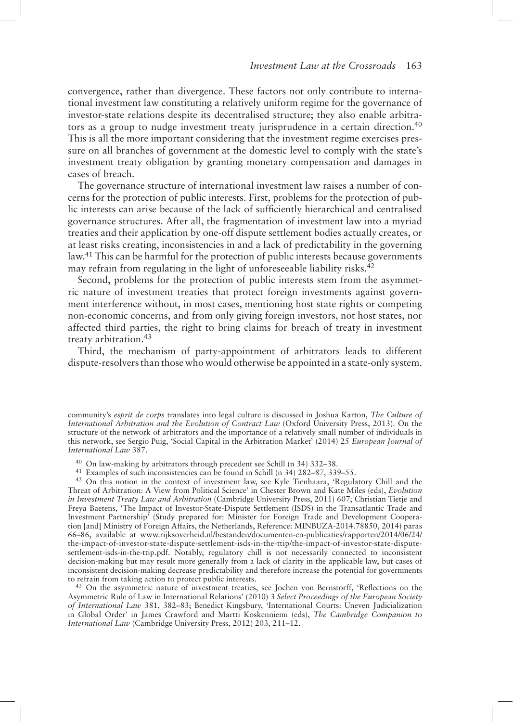convergence, rather than divergence. These factors not only contribute to international investment law constituting a relatively uniform regime for the governance of investor-state relations despite its decentralised structure; they also enable arbitrators as a group to nudge investment treaty jurisprudence in a certain direction.<sup>40</sup> This is all the more important considering that the investment regime exercises pressure on all branches of government at the domestic level to comply with the state's investment treaty obligation by granting monetary compensation and damages in cases of breach.

The governance structure of international investment law raises a number of concerns for the protection of public interests. First, problems for the protection of public interests can arise because of the lack of sufficiently hierarchical and centralised governance structures. After all, the fragmentation of investment law into a myriad treaties and their application by one-off dispute settlement bodies actually creates, or at least risks creating, inconsistencies in and a lack of predictability in the governing law. 41 This can be harmful for the protection of public interests because governments may refrain from regulating in the light of unforeseeable liability risks.<sup>42</sup>

Second, problems for the protection of public interests stem from the asymmetric nature of investment treaties that protect foreign investments against government interference without, in most cases, mentioning host state rights or competing non-economic concerns, and from only giving foreign investors, not host states, nor affected third parties, the right to bring claims for breach of treaty in investment treaty arbitration. 43

Third, the mechanism of party-appointment of arbitrators leads to different dispute-resolvers than those who would otherwise be appointed in a state-only system.

- 
- 

<sup>40</sup> On law-making by arbitrators through precedent see Schill (n 34) 332–38.<br><sup>41</sup> Examples of such inconsistencies can be found in Schill (n 34) 282–87, 339–55.<br><sup>42</sup> On this notion in the context of investment law, see K Threat of Arbitration: A View from Political Science 'in Chester Brown and Kate Miles (eds), *Evolution in Investment Treaty Law and Arbitration* (Cambridge University Press, 2011) 607; Christian Tietje and Freya Baetens, 'The Impact of Investor-State-Dispute Settlement (ISDS) in the Transatlantic Trade and Investment Partnership<sup>5</sup> (Study prepared for: Minister for Foreign Trade and Development Cooperation [and] Ministry of Foreign Affairs, the Netherlands, Reference: MINBUZA-2014.78850, 2014) paras 66 – 86, available at www.rijksoverheid.nl/bestanden/documenten-en-publicaties/rapporten/2014/06/24/ the-impact-of-investor-state-dispute-settlement-isds-in-the-ttip/the-impact-of-investor-state-disputesettlement-isds-in-the-ttip.pdf. Notably, regulatory chill is not necessarily connected to inconsistent decision-making but may result more generally from a lack of clarity in the applicable law, but cases of inconsistent decision-making decrease predictability and therefore increase the potential for governments

<sup>43</sup> On the asymmetric nature of investment treaties, see Jochen von Bernstorff, 'Reflections on the Asymmetric Rule of Law in International Relations '(2010) 3 *Select Proceedings of the European Society*  of International Law 381, 382-83; Benedict Kingsbury, 'International Courts: Uneven Judicialization in Global Order 'in James Crawford and Martti Koskenniemi (eds), *The Cambridge Companion to International Law* (Cambridge University Press, 2012) 203, 211-12.

community's esprit de corps translates into legal culture is discussed in Joshua Karton, *The Culture of International Arbitration and the Evolution of Contract Law* (Oxford University Press, 2013). On the structure of the network of arbitrators and the importance of a relatively small number of individuals in this network, see Sergio Puig, 'Social Capital in the Arbitration Market' (2014) 25 *European Journal of International Law* 387.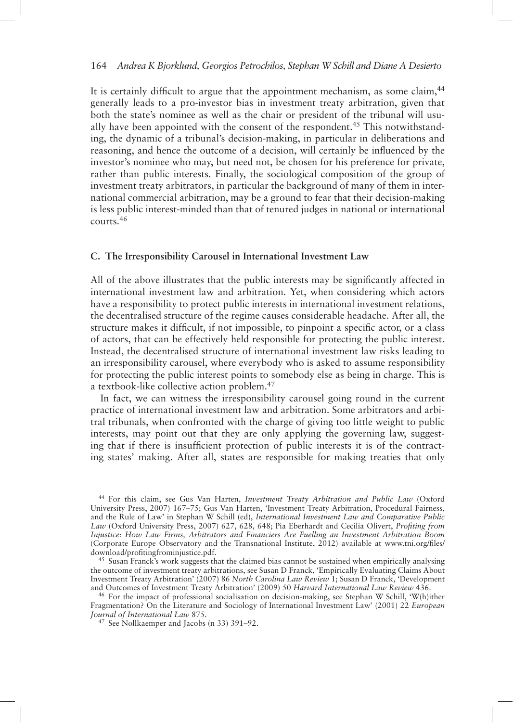It is certainly difficult to argue that the appointment mechanism, as some claim,  $44$ generally leads to a pro-investor bias in investment treaty arbitration, given that both the state's nominee as well as the chair or president of the tribunal will usually have been appointed with the consent of the respondent.<sup>45</sup> This notwithstanding, the dynamic of a tribunal's decision-making, in particular in deliberations and reasoning, and hence the outcome of a decision, will certainly be influenced by the investor's nominee who may, but need not, be chosen for his preference for private, rather than public interests. Finally, the sociological composition of the group of investment treaty arbitrators, in particular the background of many of them in international commercial arbitration, may be a ground to fear that their decision-making is less public interest-minded than that of tenured judges in national or international courts. 46

#### **C. The Irresponsibility Carousel in International Investment Law**

All of the above illustrates that the public interests may be significantly affected in international investment law and arbitration. Yet, when considering which actors have a responsibility to protect public interests in international investment relations, the decentralised structure of the regime causes considerable headache. After all, the structure makes it difficult, if not impossible, to pinpoint a specific actor, or a class of actors, that can be effectively held responsible for protecting the public interest. Instead, the decentralised structure of international investment law risks leading to an irresponsibility carousel, where everybody who is asked to assume responsibility for protecting the public interest points to somebody else as being in charge. This is a textbook-like collective action problem. 47

In fact, we can witness the irresponsibility carousel going round in the current practice of international investment law and arbitration. Some arbitrators and arbitral tribunals, when confronted with the charge of giving too little weight to public interests, may point out that they are only applying the governing law, suggesting that if there is insufficient protection of public interests it is of the contracting states' making. After all, states are responsible for making treaties that only

<sup>44</sup> For this claim, see Gus Van Harten, *Investment Treaty Arbitration and Public Law* (Oxford University Press, 2007) 167-75; Gus Van Harten, 'Investment Treaty Arbitration, Procedural Fairness, and the Rule of Law 'in Stephan W Schill (ed), *International Investment Law and Comparative Public Law* (Oxford University Press, 2007) 627, 628, 648; Pia Eberhardt and Cecilia Olivert, *Profi ting from Injustice: How Law Firms, Arbitrators and Financiers Are Fuelling an Investment Arbitration Boom* (Corporate Europe Observatory and the Transnational Institute, 2012) available at www.tni.org/files/ download/profitingfrominjustice.pdf.<br><sup>45</sup> Susan Franck's work suggests that the claimed bias cannot be sustained when empirically analysing

the outcome of investment treaty arbitrations, see Susan D Franck, 'Empirically Evaluating Claims About Investment Treaty Arbitration' (2007) 86 *North Carolina Law Review* 1; Susan D Franck, 'Development and Outcomes of Investment Treaty Arbitration' (2009) 50 Harvard International Law Review 436.

<sup>&</sup>lt;sup>46</sup> For the impact of professional socialisation on decision-making, see Stephan W Schill, 'W(h)ither Fragmentation? On the Literature and Sociology of International Investment Law' (2001) 22 *European* Journal of International Law 875.

<sup>&</sup>lt;sup>47</sup> See Nollkaemper and Jacobs (n 33) 391–92.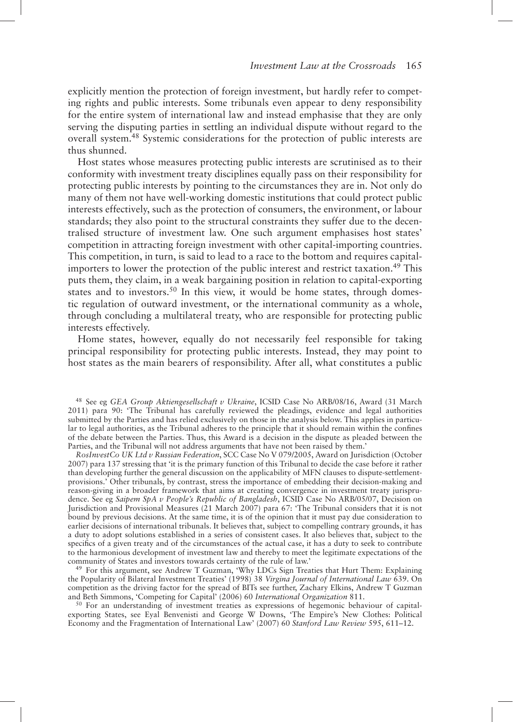explicitly mention the protection of foreign investment, but hardly refer to competing rights and public interests. Some tribunals even appear to deny responsibility for the entire system of international law and instead emphasise that they are only serving the disputing parties in settling an individual dispute without regard to the overall system. 48 Systemic considerations for the protection of public interests are thus shunned.

Host states whose measures protecting public interests are scrutinised as to their conformity with investment treaty disciplines equally pass on their responsibility for protecting public interests by pointing to the circumstances they are in. Not only do many of them not have well-working domestic institutions that could protect public interests effectively, such as the protection of consumers, the environment, or labour standards; they also point to the structural constraints they suffer due to the decentralised structure of investment law. One such argument emphasises host states ' competition in attracting foreign investment with other capital-importing countries. This competition, in turn, is said to lead to a race to the bottom and requires capitalimporters to lower the protection of the public interest and restrict taxation. 49 This puts them, they claim, in a weak bargaining position in relation to capital-exporting states and to investors.<sup>50</sup> In this view, it would be home states, through domestic regulation of outward investment, or the international community as a whole, through concluding a multilateral treaty, who are responsible for protecting public interests effectively.

Home states, however, equally do not necessarily feel responsible for taking principal responsibility for protecting public interests. Instead, they may point to host states as the main bearers of responsibility. After all, what constitutes a public

48 See eg *GEA Group Aktiengesellschaft v Ukraine*, ICSID Case No ARB/08/16, Award (31 March 2011) para 90: 'The Tribunal has carefully reviewed the pleadings, evidence and legal authorities submitted by the Parties and has relied exclusively on those in the analysis below. This applies in particular to legal authorities, as the Tribunal adheres to the principle that it should remain within the confines of the debate between the Parties. Thus, this Award is a decision in the dispute as pleaded between the Parties, and the Tribunal will not address arguments that have not been raised by them. '

*RosInvestCo UK Ltd v Russian Federation*, SCC Case No V 079/2005, Award on Jurisdiction (October 2007) para 137 stressing that 'it is the primary function of this Tribunal to decide the case before it rather than developing further the general discussion on the applicability of MFN clauses to dispute-settlementprovisions. 'Other tribunals, by contrast, stress the importance of embedding their decision-making and reason-giving in a broader framework that aims at creating convergence in investment treaty jurisprudence. See eg Saipem SpA v People's Republic of Bangladesh, ICSID Case No ARB/05/07, Decision on Jurisdiction and Provisional Measures (21 March 2007) para 67: ' The Tribunal considers that it is not bound by previous decisions. At the same time, it is of the opinion that it must pay due consideration to earlier decisions of international tribunals. It believes that, subject to compelling contrary grounds, it has a duty to adopt solutions established in a series of consistent cases. It also believes that, subject to the specifics of a given treaty and of the circumstances of the actual case, it has a duty to seek to contribute to the harmonious development of investment law and thereby to meet the legitimate expectations of the community of States and investors towards certainty of the rule of law.

<sup>49</sup> For this argument, see Andrew T Guzman, 'Why LDCs Sign Treaties that Hurt Them: Explaining the Popularity of Bilateral Investment Treaties '(1998) 38 *Virgina Journal of International Law* 639. On competition as the driving factor for the spread of BITs see further, Zachary Elkins, Andrew T Guzman and Beth Simmons, 'Competing for Capital' (2006) 60 International Organization 811.

<sup>50</sup> For an understanding of investment treaties as expressions of hegemonic behaviour of capitalexporting States, see Eyal Benvenisti and George W Downs, 'The Empire's New Clothes: Political Economy and the Fragmentation of International Law' (2007) 60 *Stanford Law Review* 595, 611–12.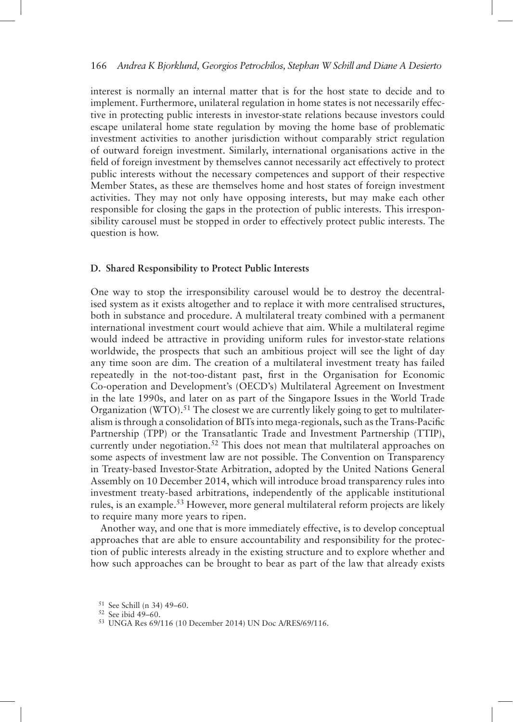interest is normally an internal matter that is for the host state to decide and to implement. Furthermore, unilateral regulation in home states is not necessarily effective in protecting public interests in investor-state relations because investors could escape unilateral home state regulation by moving the home base of problematic investment activities to another jurisdiction without comparably strict regulation of outward foreign investment. Similarly, international organisations active in the field of foreign investment by themselves cannot necessarily act effectively to protect public interests without the necessary competences and support of their respective Member States, as these are themselves home and host states of foreign investment activities. They may not only have opposing interests, but may make each other responsible for closing the gaps in the protection of public interests. This irresponsibility carousel must be stopped in order to effectively protect public interests. The question is how.

#### **D. Shared Responsibility to Protect Public Interests**

One way to stop the irresponsibility carousel would be to destroy the decentralised system as it exists altogether and to replace it with more centralised structures, both in substance and procedure. A multilateral treaty combined with a permanent international investment court would achieve that aim. While a multilateral regime would indeed be attractive in providing uniform rules for investor-state relations worldwide, the prospects that such an ambitious project will see the light of day any time soon are dim. The creation of a multilateral investment treaty has failed repeatedly in the not-too-distant past, first in the Organisation for Economic Co-operation and Development's (OECD's) Multilateral Agreement on Investment in the late 1990s, and later on as part of the Singapore Issues in the World Trade Organization (WTO).<sup>51</sup> The closest we are currently likely going to get to multilateralism is through a consolidation of BITs into mega-regionals, such as the Trans-Pacific Partnership (TPP) or the Transatlantic Trade and Investment Partnership (TTIP), currently under negotiation.<sup>52</sup> This does not mean that multilateral approaches on some aspects of investment law are not possible. The Convention on Transparency in Treaty-based Investor-State Arbitration, adopted by the United Nations General Assembly on 10 December 2014, which will introduce broad transparency rules into investment treaty-based arbitrations, independently of the applicable institutional rules, is an example.<sup>53</sup> However, more general multilateral reform projects are likely to require many more years to ripen.

Another way, and one that is more immediately effective, is to develop conceptual approaches that are able to ensure accountability and responsibility for the protection of public interests already in the existing structure and to explore whether and how such approaches can be brought to bear as part of the law that already exists

<sup>51</sup> See Schill (n 34) 49–60.<br>52 See ibid 49–60.<br>53 UNGA Res 69/116 (10 December 2014) UN Doc A/RES/69/116.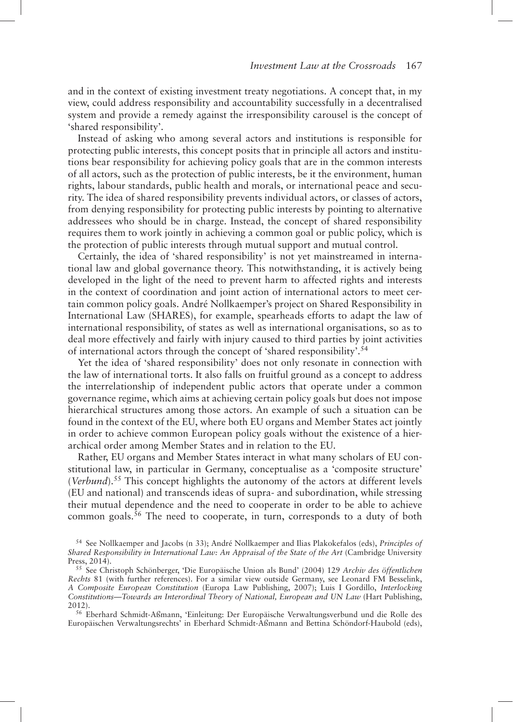and in the context of existing investment treaty negotiations. A concept that, in my view, could address responsibility and accountability successfully in a decentralised system and provide a remedy against the irresponsibility carousel is the concept of ' shared responsibility'.

Instead of asking who among several actors and institutions is responsible for protecting public interests, this concept posits that in principle all actors and institutions bear responsibility for achieving policy goals that are in the common interests of all actors, such as the protection of public interests, be it the environment, human rights, labour standards, public health and morals, or international peace and security. The idea of shared responsibility prevents individual actors, or classes of actors, from denying responsibility for protecting public interests by pointing to alternative addressees who should be in charge. Instead, the concept of shared responsibility requires them to work jointly in achieving a common goal or public policy, which is the protection of public interests through mutual support and mutual control.

Certainly, the idea of 'shared responsibility' is not yet mainstreamed in international law and global governance theory. This notwithstanding, it is actively being developed in the light of the need to prevent harm to affected rights and interests in the context of coordination and joint action of international actors to meet certain common policy goals. André Nollkaemper's project on Shared Responsibility in International Law (SHARES), for example, spearheads efforts to adapt the law of international responsibility, of states as well as international organisations, so as to deal more effectively and fairly with injury caused to third parties by joint activities of international actors through the concept of 'shared responsibility'.<sup>54</sup>

Yet the idea of 'shared responsibility' does not only resonate in connection with the law of international torts. It also falls on fruitful ground as a concept to address the interrelationship of independent public actors that operate under a common governance regime, which aims at achieving certain policy goals but does not impose hierarchical structures among those actors. An example of such a situation can be found in the context of the EU, where both EU organs and Member States act jointly in order to achieve common European policy goals without the existence of a hierarchical order among Member States and in relation to the EU.

Rather, EU organs and Member States interact in what many scholars of EU constitutional law, in particular in Germany, conceptualise as a 'composite structure' ( *Verbund*). 55 This concept highlights the autonomy of the actors at different levels (EU and national) and transcends ideas of supra- and subordination, while stressing their mutual dependence and the need to cooperate in order to be able to achieve common goals.<sup> $56$ </sup> The need to cooperate, in turn, corresponds to a duty of both

Europäischen Verwaltungsrechts' in Eberhard Schmidt-Aßmann and Bettina Schöndorf-Haubold (eds),

<sup>54</sup> See Nollkaemper and Jacobs (n 33); André Nollkaemper and Ilias Plakokefalos (eds), *Principles of Shared Responsibility in International Law: An Appraisal of the State of the Art* (Cambridge University

<sup>&</sup>lt;sup>55</sup> See Christoph Schönberger, 'Die Europäische Union als Bund' (2004) 129 *Archiv des öffentlichen Rechts* 81 (with further references). For a similar view outside Germany, see Leonard FM Besselink, *A Composite European Constitution* (Europa Law Publishing, 2007); Luis I Gordillo, *Interlocking Constitutions — Towards an Interordinal Theory of National, European and UN Law* (Hart Publishing, 2012).<br><sup>56</sup> Eberhard Schmidt-Aßmann, 'Einleitung: Der Europäische Verwaltungsverbund und die Rolle des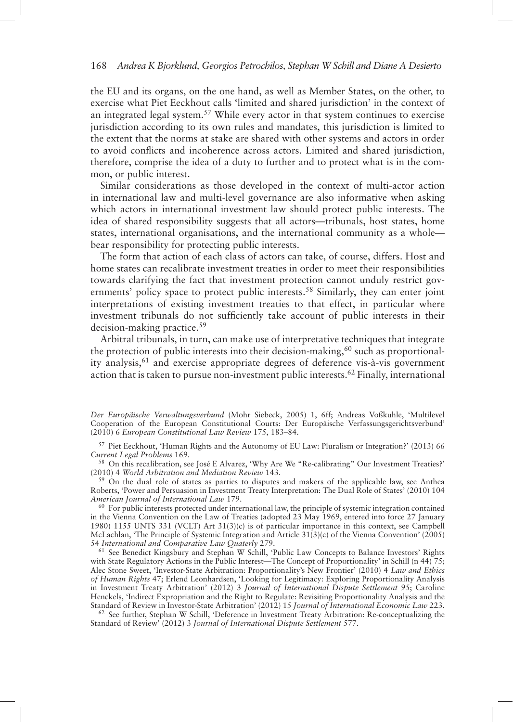the EU and its organs, on the one hand, as well as Member States, on the other, to exercise what Piet Eeckhout calls 'limited and shared jurisdiction' in the context of an integrated legal system.<sup>57</sup> While every actor in that system continues to exercise jurisdiction according to its own rules and mandates, this jurisdiction is limited to the extent that the norms at stake are shared with other systems and actors in order to avoid conflicts and incoherence across actors. Limited and shared jurisdiction, therefore, comprise the idea of a duty to further and to protect what is in the common, or public interest.

Similar considerations as those developed in the context of multi-actor action in international law and multi-level governance are also informative when asking which actors in international investment law should protect public interests. The idea of shared responsibility suggests that all actors—tribunals, host states, home states, international organisations, and the international community as a wholebear responsibility for protecting public interests.

The form that action of each class of actors can take, of course, differs. Host and home states can recalibrate investment treaties in order to meet their responsibilities towards clarifying the fact that investment protection cannot unduly restrict governments' policy space to protect public interests.<sup>58</sup> Similarly, they can enter joint interpretations of existing investment treaties to that effect, in particular where investment tribunals do not sufficiently take account of public interests in their decision-making practice. 59

Arbitral tribunals, in turn, can make use of interpretative techniques that integrate the protection of public interests into their decision-making,  $60$  such as proportionality analysis,<sup>61</sup> and exercise appropriate degrees of deference vis-à-vis government action that is taken to pursue non-investment public interests. 62 Finally, international

<sup>58</sup> On this recalibration, see José E Alvarez, 'Why Are We "Re-calibrating" Our Investment Treaties?' (2010) 4 *World Arbitration and Mediation Review* 143. 59 On the dual role of states as parties to disputes and makers of the applicable law, see Anthea

Roberts, 'Power and Persuasion in Investment Treaty Interpretation: The Dual Role of States' (2010) 104 *American Journal of International Law* 179.<br><sup>60</sup> For public interests protected under international law, the principle of systemic integration contained

in the Vienna Convention on the Law of Treaties (adopted 23 May 1969, entered into force 27 January 1980) 1155 UNTS 331 (VCLT) Art 31(3)(c) is of particular importance in this context, see Campbell McLachlan, 'The Principle of Systemic Integration and Article 31(3)(c) of the Vienna Convention' (2005)<br>54 International and Comparative Law Quaterly 279.

<sup>61</sup> See Benedict Kingsbury and Stephan W Schill, 'Public Law Concepts to Balance Investors' Rights with State Regulatory Actions in the Public Interest—The Concept of Proportionality' in Schill (n 44)  $75$ ; Alec Stone Sweet, 'Investor-State Arbitration: Proportionality's New Frontier' (2010) 4 *Law and Ethics of Human Rights* 47; Erlend Leonhardsen, ' Looking for Legitimacy: Exploring Proportionality Analysis in Investment Treaty Arbitration '(2012) 3 *Journal of International Dispute Settlement* 95; Caroline Henckels, 'Indirect Expropriation and the Right to Regulate: Revisiting Proportionality Analysis and the<br>Standard of Review in Investor-State Arbitration' (2012) 15 Journal of International Economic Law 223.

<sup>62</sup> See further, Stephan W Schill, 'Deference in Investment Treaty Arbitration: Re-conceptualizing the Standard of Review '(2012) 3 *Journal of International Dispute Settlement* 577.

Der Europäische Verwaltungsverbund (Mohr Siebeck, 2005) 1, 6ff; Andreas Voßkuhle, 'Multilevel Cooperation of the European Constitutional Courts: Der Europäische Verfassungsgerichtsverbund' (2010) 6 *European Constitutional Law Review* 175, 183–84.

 $57$  Piet Eeckhout, 'Human Rights and the Autonomy of EU Law: Pluralism or Integration?' (2013) 66<br>Current Leval Problems 169.